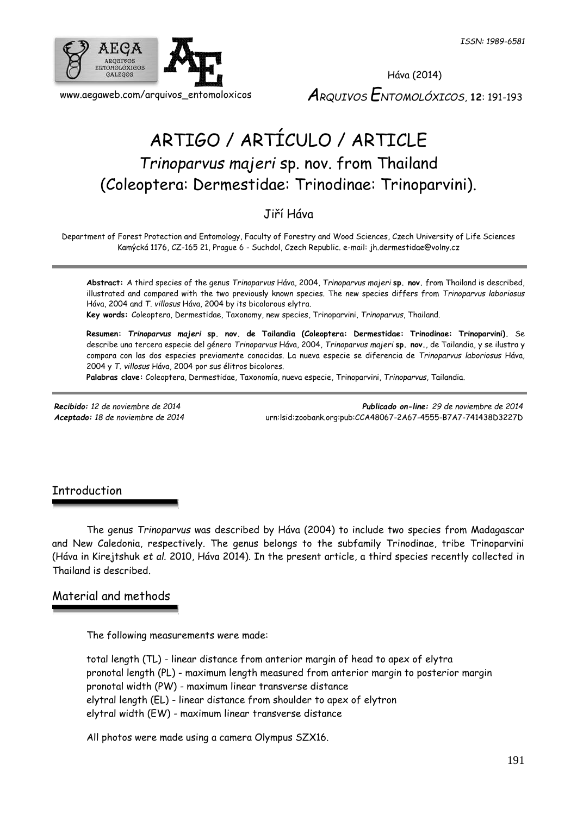

# ARTIGO / ARTÍCULO / ARTICLE *Trinoparvus majeri* sp. nov. from Thailand (Coleoptera: Dermestidae: Trinodinae: Trinoparvini).

## Jiří Háva

Department of Forest Protection and Entomology, Faculty of Forestry and Wood Sciences, Czech University of Life Sciences Kamýcká 1176, CZ-165 21, Prague 6 - Suchdol, Czech Republic. e-mail: jh.dermestidae@volny.cz

**Abstract:** A third species of the genus *Trinoparvus* Háva, 2004, *Trinoparvus majeri* **sp. nov.** from Thailand is described, illustrated and compared with the two previously known species. The new species differs from *Trinoparvus laboriosus*  Háva, 2004 and *T. villosus* Háva, 2004 by its bicolorous elytra. **Key words:** Coleoptera, Dermestidae, Taxonomy, new species, Trinoparvini, *Trinoparvus*, Thailand.

**Resumen:** *Trinoparvus majeri* **sp. nov. de Tailandia (Coleoptera: Dermestidae: Trinodinae: Trinoparvini).** Se describe una tercera especie del género *Trinoparvus* Háva, 2004, *Trinoparvus majeri* **sp. nov.**, de Tailandia, y se ilustra y compara con las dos especies previamente conocidas. La nueva especie se diferencia de *Trinoparvus laboriosus* Háva, 2004 y *T. villosus* Háva, 2004 por sus élitros bicolores.

**Palabras clave:** Coleoptera, Dermestidae, Taxonomía, nueva especie, Trinoparvini, *Trinoparvus*, Tailandia.

*Recibido: 12 de noviembre de 2014 Publicado on-line: 29 de noviembre de 2014 Aceptado: 18 de noviembre de 2014* [urn:lsid:zoobank.org:pub:CCA48067-2A67-4555-B7A7-741438D3227D](http://www.zoobank.org/urn:lsid:zoobank.org:pub:CCA48067-2A67-4555-B7A7-741438D3227D)

## Introduction

The genus *Trinoparvus* was described by Háva (2004) to include two species from Madagascar and New Caledonia, respectively. The genus belongs to the subfamily Trinodinae, tribe Trinoparvini (Háva in Kirejtshuk *et al.* 2010, Háva 2014). In the present article, a third species recently collected in Thailand is described.

## Material and methods

The following measurements were made:

total length (TL) - linear distance from anterior margin of head to apex of elytra pronotal length (PL) - maximum length measured from anterior margin to posterior margin pronotal width (PW) - maximum linear transverse distance elytral length (EL) - linear distance from shoulder to apex of elytron elytral width (EW) - maximum linear transverse distance

All photos were made using a camera Olympus SZX16.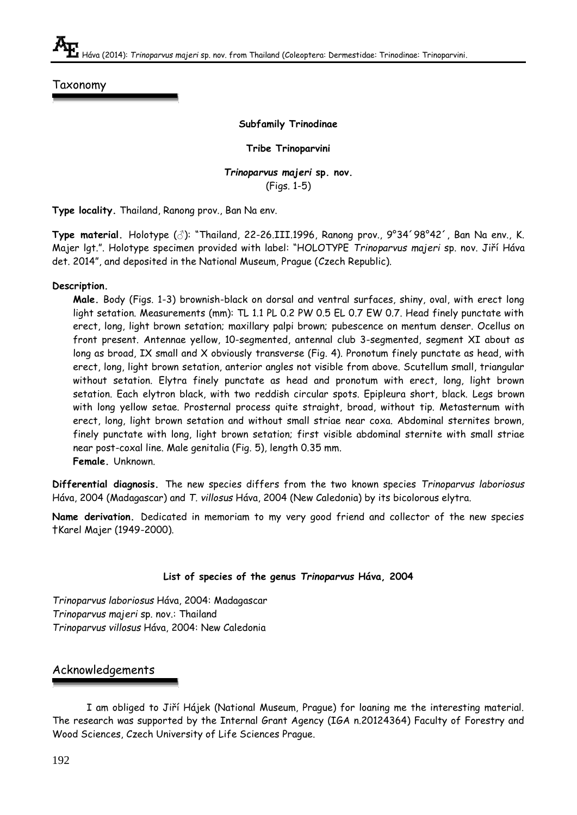Taxonomy

#### **Subfamily Trinodinae**

**Tribe Trinoparvini**

*Trinoparvus majeri* **sp. nov.** (Figs. 1-5)

**Type locality.** Thailand, Ranong prov., Ban Na env.

**Type material.** Holotype (♂): "Thailand, 22-26.III.1996, Ranong prov., 9°34´98°42´, Ban Na env., K. Majer lgt.". Holotype specimen provided with label: "HOLOTYPE *Trinoparvus majeri* sp. nov. Jiří Háva det. 2014", and deposited in the National Museum, Prague (Czech Republic).

#### **Description.**

**Male.** Body (Figs. 1-3) brownish-black on dorsal and ventral surfaces, shiny, oval, with erect long light setation. Measurements (mm): TL 1.1 PL 0.2 PW 0.5 EL 0.7 EW 0.7. Head finely punctate with erect, long, light brown setation; maxillary palpi brown; pubescence on mentum denser. Ocellus on front present. Antennae yellow, 10-segmented, antennal club 3-segmented, segment XI about as long as broad, IX small and X obviously transverse (Fig. 4). Pronotum finely punctate as head, with erect, long, light brown setation, anterior angles not visible from above. Scutellum small, triangular without setation. Elytra finely punctate as head and pronotum with erect, long, light brown setation. Each elytron black, with two reddish circular spots. Epipleura short, black. Legs brown with long yellow setae. Prosternal process quite straight, broad, without tip. Metasternum with erect, long, light brown setation and without small striae near coxa. Abdominal sternites brown, finely punctate with long, light brown setation; first visible abdominal sternite with small striae near post-coxal line. Male genitalia (Fig. 5), length 0.35 mm. **Female.** Unknown.

**Differential diagnosis.** The new species differs from the two known species *Trinoparvus laboriosus*  Háva, 2004 (Madagascar) and *T. villosus* Háva, 2004 (New Caledonia) by its bicolorous elytra.

**Name derivation.** Dedicated in memoriam to my very good friend and collector of the new species †Karel Majer (1949-2000).

#### **List of species of the genus** *Trinoparvus* **Háva, 2004**

*Trinoparvus laboriosus* Háva, 2004: Madagascar *Trinoparvus majeri* sp. nov.: Thailand *Trinoparvus villosus* Háva, 2004: New Caledonia

## Acknowledgements

I am obliged to Jiří Hájek (National Museum, Prague) for loaning me the interesting material. The research was supported by the Internal Grant Agency (IGA n.20124364) Faculty of Forestry and Wood Sciences, Czech University of Life Sciences Prague.